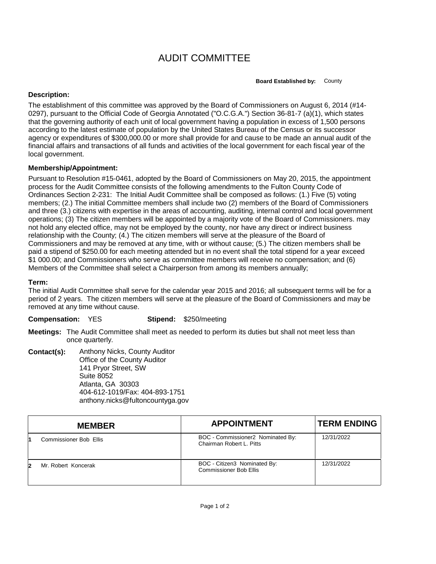## AUDIT COMMITTEE

**Board Established by:** County

## **Description:**

The establishment of this committee was approved by the Board of Commissioners on August 6, 2014 (#14- 0297), pursuant to the Official Code of Georgia Annotated ("O.C.G.A.") Section 36-81-7 (a)(1), which states that the governing authority of each unit of local government having a population in excess of 1,500 persons according to the latest estimate of population by the United States Bureau of the Census or its successor agency or expenditures of \$300,000.00 or more shall provide for and cause to be made an annual audit of the financial affairs and transactions of all funds and activities of the local government for each fiscal year of the local government.

## **Membership/Appointment:**

Pursuant to Resolution #15-0461, adopted by the Board of Commissioners on May 20, 2015, the appointment process for the Audit Committee consists of the following amendments to the Fulton County Code of Ordinances Section 2-231: The Initial Audit Committee shall be composed as follows: (1.) Five (5) voting members; (2.) The initial Committee members shall include two (2) members of the Board of Commissioners and three (3.) citizens with expertise in the areas of accounting, auditing, internal control and local government operations; (3) The citizen members will be appointed by a majority vote of the Board of Commissioners. may not hold any elected office, may not be employed by the county, nor have any direct or indirect business relationship with the County; (4.) The citizen members will serve at the pleasure of the Board of Commissioners and may be removed at any time, with or without cause; (5.) The citizen members shall be paid a stipend of \$250.00 for each meeting attended but in no event shall the total stipend for a year exceed \$1 000.00; and Commissioners who serve as committee members will receive no compensation; and (6) Members of the Committee shall select a Chairperson from among its members annually;

## **Term:**

The initial Audit Committee shall serve for the calendar year 2015 and 2016; all subsequent terms will be for a period of 2 years. The citizen members will serve at the pleasure of the Board of Commissioners and may be removed at any time without cause.

**Compensation:** YES **Stipend:** \$250/meeting

**Meetings:** The Audit Committee shall meet as needed to perform its duties but shall not meet less than once quarterly.

**Contact(s):** Anthony Nicks, County Auditor Office of the County Auditor 141 Pryor Street, SW Suite 8052 Atlanta, GA 30303 404-612-1019/Fax: 404-893-1751 anthony.nicks@fultoncountyga.gov

| <b>MEMBER</b>          | <b>APPOINTMENT</b>                                            | <b>TERM ENDING</b> |
|------------------------|---------------------------------------------------------------|--------------------|
| Commissioner Bob Ellis | BOC - Commissioner2 Nominated By:<br>Chairman Robert L. Pitts | 12/31/2022         |
| Mr. Robert Koncerak    | BOC - Citizen3 Nominated By:<br><b>Commissioner Bob Ellis</b> | 12/31/2022         |